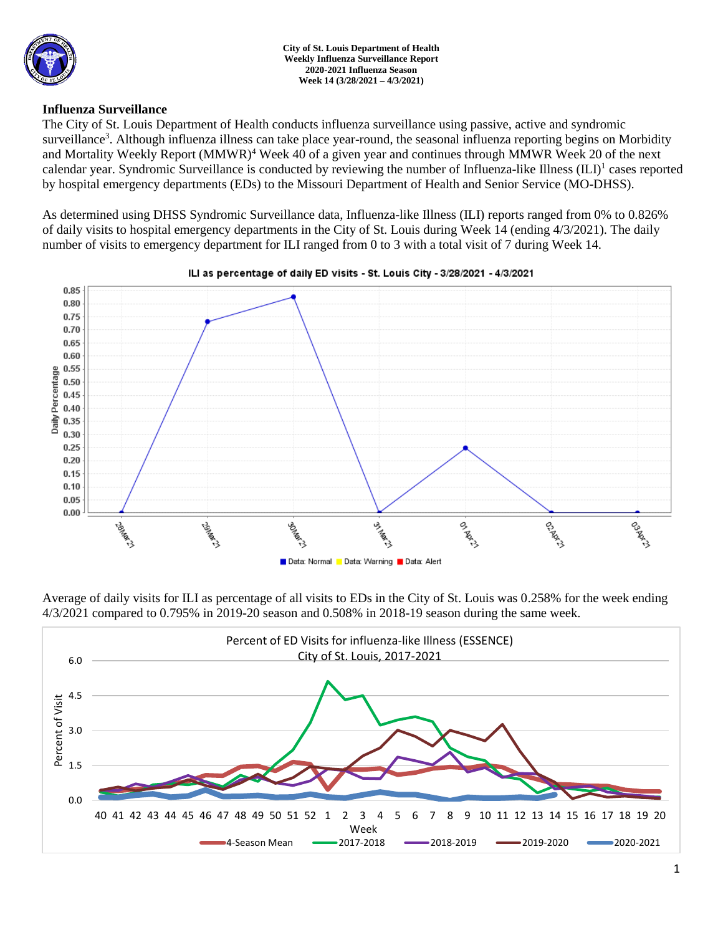

### **Influenza Surveillance**

The City of St. Louis Department of Health conducts influenza surveillance using passive, active and syndromic surveillance<sup>3</sup>. Although influenza illness can take place year-round, the seasonal influenza reporting begins on Morbidity and Mortality Weekly Report (MMWR)<sup>4</sup> Week 40 of a given year and continues through MMWR Week 20 of the next calendar year. Syndromic Surveillance is conducted by reviewing the number of Influenza-like Illness (ILI)<sup>1</sup> cases reported by hospital emergency departments (EDs) to the Missouri Department of Health and Senior Service (MO-DHSS).

As determined using DHSS Syndromic Surveillance data, Influenza-like Illness (ILI) reports ranged from 0% to 0.826% of daily visits to hospital emergency departments in the City of St. Louis during Week 14 (ending 4/3/2021). The daily number of visits to emergency department for ILI ranged from 0 to 3 with a total visit of 7 during Week 14.



ILI as percentage of daily ED visits - St. Louis City - 3/28/2021 - 4/3/2021

Average of daily visits for ILI as percentage of all visits to EDs in the City of St. Louis was 0.258% for the week ending 4/3/2021 compared to 0.795% in 2019-20 season and 0.508% in 2018-19 season during the same week.

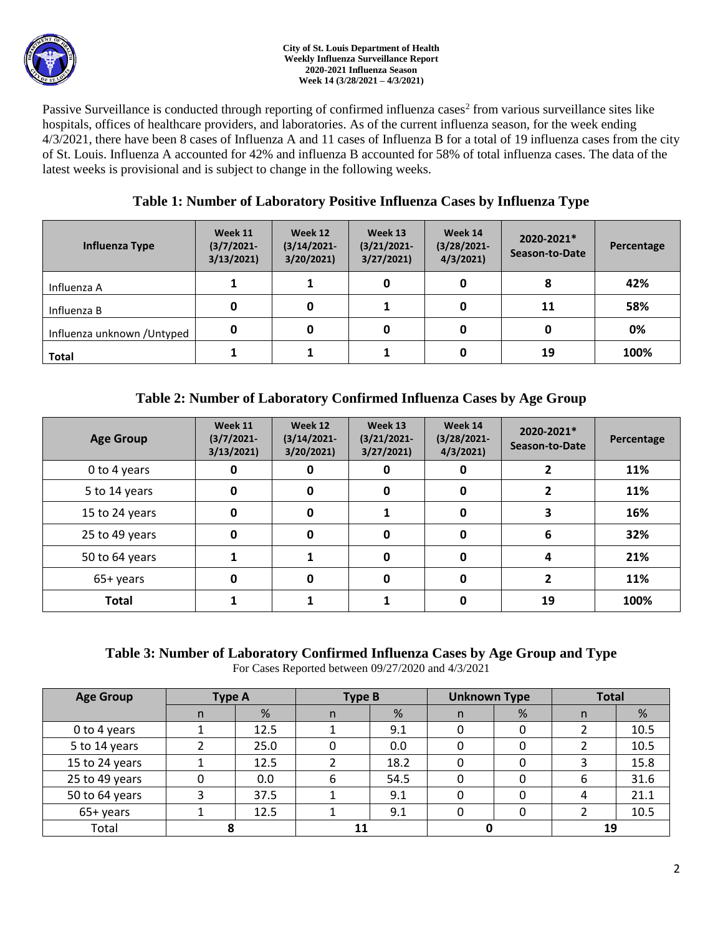

#### **City of St. Louis Department of Health Weekly Influenza Surveillance Report 2020-2021 Influenza Season Week 14 (3/28/2021 – 4/3/2021)**

Passive Surveillance is conducted through reporting of confirmed influenza cases<sup>2</sup> from various surveillance sites like hospitals, offices of healthcare providers, and laboratories. As of the current influenza season, for the week ending 4/3/2021, there have been 8 cases of Influenza A and 11 cases of Influenza B for a total of 19 influenza cases from the city of St. Louis. Influenza A accounted for 42% and influenza B accounted for 58% of total influenza cases. The data of the latest weeks is provisional and is subject to change in the following weeks.

# **Table 1: Number of Laboratory Positive Influenza Cases by Influenza Type**

| Influenza Type              | Week 11<br>$(3/7/2021 -$<br>3/13/2021 | Week 12<br>$(3/14/2021 -$<br>3/20/2021 | Week 13<br>$(3/21/2021 -$<br>3/27/2021 | Week 14<br>$(3/28/2021 -$<br>4/3/2021 | 2020-2021*<br>Season-to-Date | Percentage |
|-----------------------------|---------------------------------------|----------------------------------------|----------------------------------------|---------------------------------------|------------------------------|------------|
| Influenza A                 |                                       |                                        | 0                                      |                                       |                              | 42%        |
| Influenza B                 | 0                                     | 0                                      |                                        |                                       | 11                           | 58%        |
| Influenza unknown / Untyped | 0                                     | 0                                      | 0                                      |                                       | 0                            | 0%         |
| <b>Total</b>                |                                       |                                        |                                        |                                       | 19                           | 100%       |

# **Table 2: Number of Laboratory Confirmed Influenza Cases by Age Group**

| <b>Age Group</b> | Week 11<br>$(3/7/2021 -$<br>3/13/2021 | Week 12<br>$(3/14/2021 -$<br>3/20/2021 | Week 13<br>$(3/21/2021 -$<br>3/27/2021 | Week 14<br>$(3/28/2021 -$<br>4/3/2021 | 2020-2021*<br>Season-to-Date | Percentage |
|------------------|---------------------------------------|----------------------------------------|----------------------------------------|---------------------------------------|------------------------------|------------|
| 0 to 4 years     | 0                                     | 0                                      | 0                                      | O                                     |                              | 11%        |
| 5 to 14 years    | 0                                     | 0                                      | 0                                      | 0                                     |                              | 11%        |
| 15 to 24 years   | 0                                     | O                                      |                                        | 0                                     |                              | 16%        |
| 25 to 49 years   | 0                                     | 0                                      | 0                                      | 0                                     | 6                            | 32%        |
| 50 to 64 years   |                                       |                                        | 0                                      | 0                                     | 4                            | 21%        |
| 65+ years        | 0                                     | ŋ                                      | 0                                      | 0                                     |                              | 11%        |
| <b>Total</b>     |                                       |                                        |                                        | 0                                     | 19                           | 100%       |

### **Table 3: Number of Laboratory Confirmed Influenza Cases by Age Group and Type** For Cases Reported between 09/27/2020 and 4/3/2021

| <b>Age Group</b> | Type A |      | Type B |      | <b>Unknown Type</b> |   | <b>Total</b> |      |
|------------------|--------|------|--------|------|---------------------|---|--------------|------|
|                  | n      | %    | n      | %    | n.                  | % | n            | %    |
| 0 to 4 years     |        | 12.5 |        | 9.1  | 0                   |   |              | 10.5 |
| 5 to 14 years    |        | 25.0 |        | 0.0  |                     |   |              | 10.5 |
| 15 to 24 years   |        | 12.5 |        | 18.2 |                     |   |              | 15.8 |
| 25 to 49 years   |        | 0.0  | 6      | 54.5 |                     |   | 6            | 31.6 |
| 50 to 64 years   |        | 37.5 |        | 9.1  | 0                   |   |              | 21.1 |
| 65+ years        |        | 12.5 |        | 9.1  |                     |   |              | 10.5 |
| Total            |        |      |        |      |                     |   | 19           |      |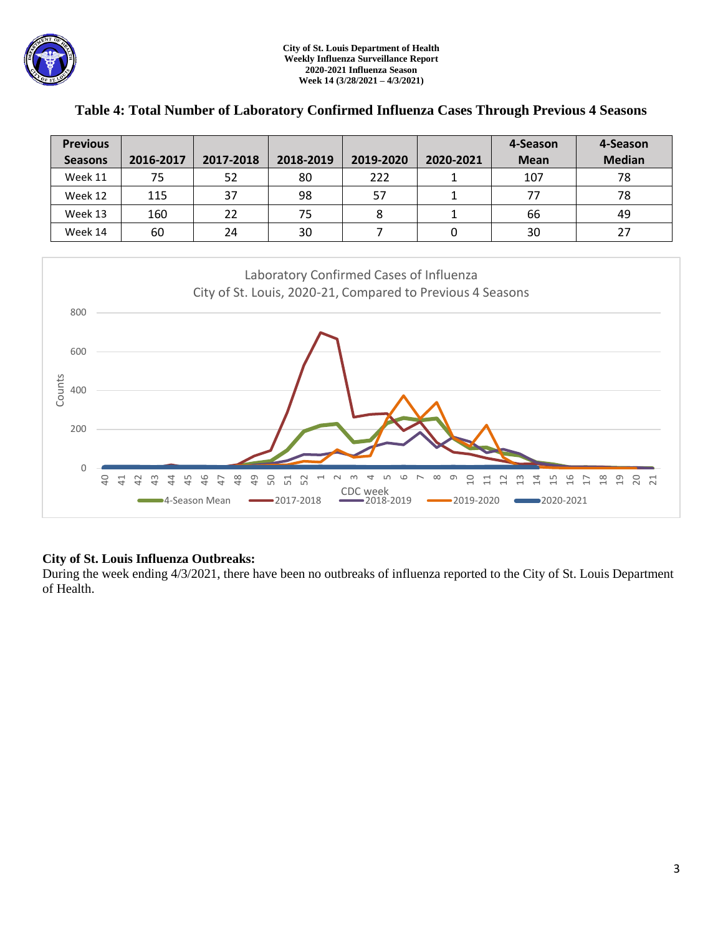

| <b>Previous</b> |           |           |           |           |           | 4-Season    | 4-Season      |
|-----------------|-----------|-----------|-----------|-----------|-----------|-------------|---------------|
| <b>Seasons</b>  | 2016-2017 | 2017-2018 | 2018-2019 | 2019-2020 | 2020-2021 | <b>Mean</b> | <b>Median</b> |
| Week 11         | 75        | 52        | 80        | 222       |           | 107         | 78            |
| Week 12         | 115       | 37        | 98        | 57        |           |             | 78            |
| Week 13         | 160       | 22        | 75        |           |           | 66          | 49            |
| Week 14         | 60        | 24        | 30        |           |           | 30          | -27           |

### **Table 4: Total Number of Laboratory Confirmed Influenza Cases Through Previous 4 Seasons**



## **City of St. Louis Influenza Outbreaks:**

During the week ending 4/3/2021, there have been no outbreaks of influenza reported to the City of St. Louis Department of Health.